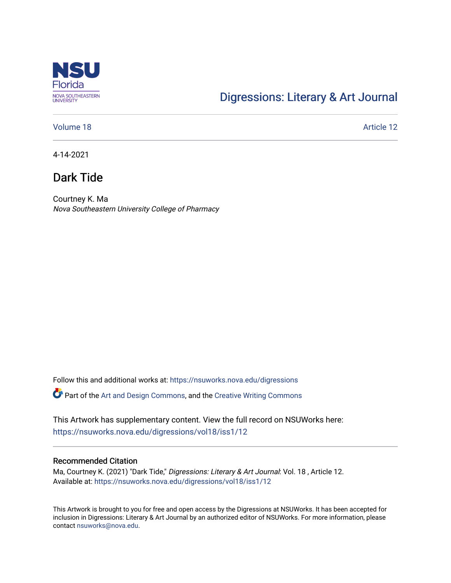

## [Digressions: Literary & Art Journal](https://nsuworks.nova.edu/digressions)

#### [Volume 18](https://nsuworks.nova.edu/digressions/vol18) Article 12

4-14-2021

## Dark Tide

Courtney K. Ma Nova Southeastern University College of Pharmacy

Follow this and additional works at: [https://nsuworks.nova.edu/digressions](https://nsuworks.nova.edu/digressions?utm_source=nsuworks.nova.edu%2Fdigressions%2Fvol18%2Fiss1%2F12&utm_medium=PDF&utm_campaign=PDFCoverPages) 

Part of the [Art and Design Commons](http://network.bepress.com/hgg/discipline/1049?utm_source=nsuworks.nova.edu%2Fdigressions%2Fvol18%2Fiss1%2F12&utm_medium=PDF&utm_campaign=PDFCoverPages), and the [Creative Writing Commons](http://network.bepress.com/hgg/discipline/574?utm_source=nsuworks.nova.edu%2Fdigressions%2Fvol18%2Fiss1%2F12&utm_medium=PDF&utm_campaign=PDFCoverPages)

This Artwork has supplementary content. View the full record on NSUWorks here: <https://nsuworks.nova.edu/digressions/vol18/iss1/12>

#### Recommended Citation

Ma, Courtney K. (2021) "Dark Tide," Digressions: Literary & Art Journal: Vol. 18, Article 12. Available at: [https://nsuworks.nova.edu/digressions/vol18/iss1/12](https://nsuworks.nova.edu/digressions/vol18/iss1/12?utm_source=nsuworks.nova.edu%2Fdigressions%2Fvol18%2Fiss1%2F12&utm_medium=PDF&utm_campaign=PDFCoverPages)

This Artwork is brought to you for free and open access by the Digressions at NSUWorks. It has been accepted for inclusion in Digressions: Literary & Art Journal by an authorized editor of NSUWorks. For more information, please contact [nsuworks@nova.edu.](mailto:nsuworks@nova.edu)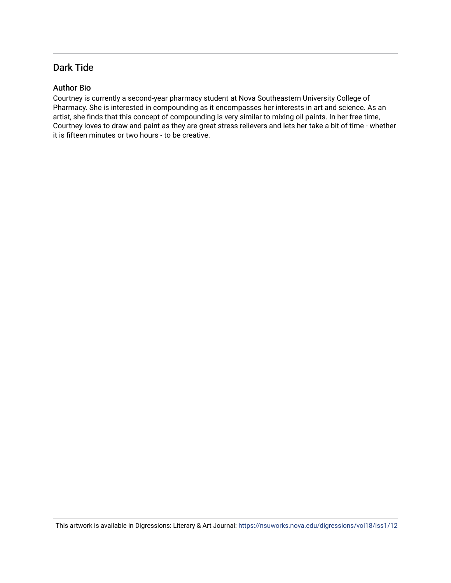### Dark Tide

#### Author Bio

Courtney is currently a second-year pharmacy student at Nova Southeastern University College of Pharmacy. She is interested in compounding as it encompasses her interests in art and science. As an artist, she finds that this concept of compounding is very similar to mixing oil paints. In her free time, Courtney loves to draw and paint as they are great stress relievers and lets her take a bit of time - whether it is fifteen minutes or two hours - to be creative.